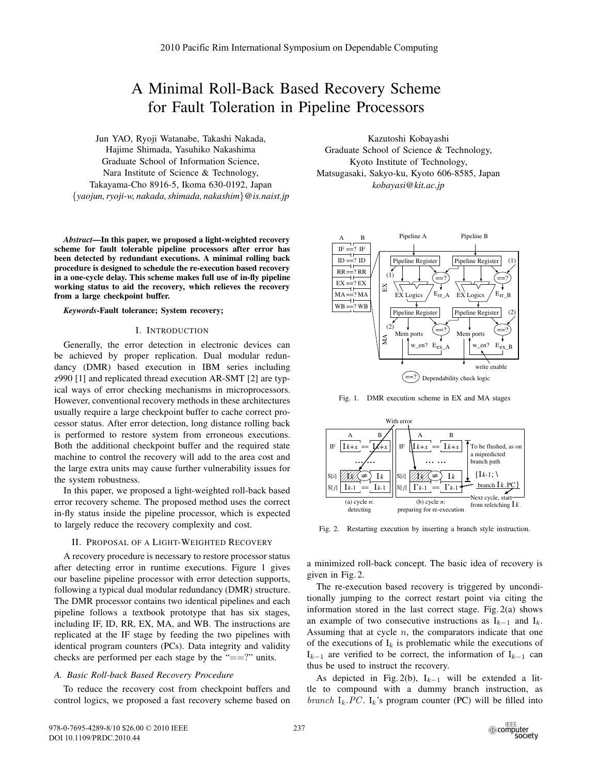# A Minimal Roll-Back Based Recovery Scheme for Fault Toleration in Pipeline Processors

Jun YAO, Ryoji Watanabe, Takashi Nakada, Hajime Shimada, Yasuhiko Nakashima Graduate School of Information Science, Nara Institute of Science & Technology, Takayama-Cho 8916-5, Ikoma 630-0192, Japan {*yaojun, ryoji-w, nakada, shimada, nakashim*}*@is.naist.jp*

*Abstract***—In this paper, we proposed a light-weighted recovery scheme for fault tolerable pipeline processors after error has been detected by redundant executions. A minimal rolling back procedure is designed to schedule the re-execution based recovery in a one-cycle delay. This scheme makes full use of in-fly pipeline working status to aid the recovery, which relieves the recovery from a large checkpoint buffer.**

*Keywords***-Fault tolerance; System recovery;**

### I. INTRODUCTION

Generally, the error detection in electronic devices can be achieved by proper replication. Dual modular redundancy (DMR) based execution in IBM series including z990 [1] and replicated thread execution AR-SMT [2] are typical ways of error checking mechanisms in microprocessors. However, conventional recovery methods in these architectures usually require a large checkpoint buffer to cache correct processor status. After error detection, long distance rolling back is performed to restore system from erroneous executions. Both the additional checkpoint buffer and the required state machine to control the recovery will add to the area cost and the large extra units may cause further vulnerability issues for the system robustness.

In this paper, we proposed a light-weighted roll-back based error recovery scheme. The proposed method uses the correct in-fly status inside the pipeline processor, which is expected to largely reduce the recovery complexity and cost.

## II. PROPOSAL OF A LIGHT-WEIGHTED RECOVERY

A recovery procedure is necessary to restore processor status after detecting error in runtime executions. Figure 1 gives our baseline pipeline processor with error detection supports, following a typical dual modular redundancy (DMR) structure. The DMR processor contains two identical pipelines and each pipeline follows a textbook prototype that has six stages, including IF, ID, RR, EX, MA, and WB. The instructions are replicated at the IF stage by feeding the two pipelines with identical program counters (PCs). Data integrity and validity checks are performed per each stage by the "==?" units.

## *A. Basic Roll-back Based Recovery Procedure*

To reduce the recovery cost from checkpoint buffers and control logics, we proposed a fast recovery scheme based on

Kazutoshi Kobayashi Graduate School of Science & Technology, Kyoto Institute of Technology, Matsugasaki, Sakyo-ku, Kyoto 606-8585, Japan *kobayasi@kit.ac.jp*



Fig. 1. DMR execution scheme in EX and MA stages



Fig. 2. Restarting execution by inserting a branch style instruction.

a minimized roll-back concept. The basic idea of recovery is given in Fig. 2.

The re-execution based recovery is triggered by unconditionally jumping to the correct restart point via citing the information stored in the last correct stage. Fig. 2(a) shows an example of two consecutive instructions as  $I_{k-1}$  and  $I_k$ . Assuming that at cycle  $n$ , the comparators indicate that one of the executions of  $I_k$  is problematic while the executions of  $I_{k-1}$  are verified to be correct, the information of  $I_{k-1}$  can thus be used to instruct the recovery.

As depicted in Fig. 2(b),  $I_{k-1}$  will be extended a little to compound with a dummy branch instruction, as branch  $I_k$  . PC.  $I_k$ 's program counter (PC) will be filled into